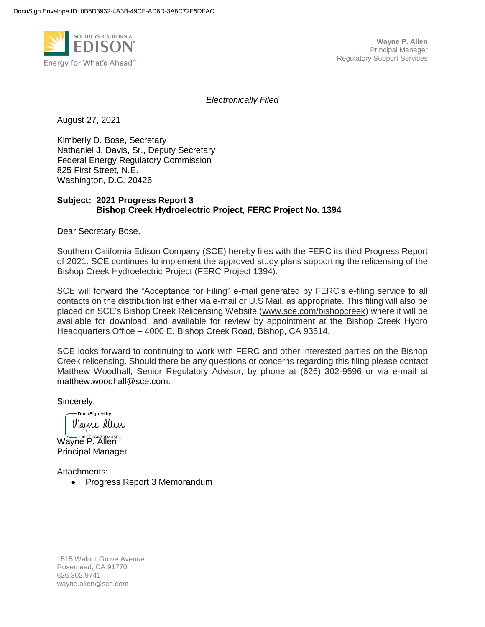

*Electronically Filed*

August 27, 2021

Kimberly D. Bose, Secretary Nathaniel J. Davis, Sr., Deputy Secretary Federal Energy Regulatory Commission 825 First Street, N.E. Washington, D.C. 20426

#### **Subject: 2021 Progress Report 3 Bishop Creek Hydroelectric Project, FERC Project No. 1394**

Dear Secretary Bose,

Southern California Edison Company (SCE) hereby files with the FERC its third Progress Report of 2021. SCE continues to implement the approved study plans supporting the relicensing of the Bishop Creek Hydroelectric Project (FERC Project 1394).

SCE will forward the "Acceptance for Filing" e-mail generated by FERC's e-filing service to all contacts on the distribution list either via e-mail or U.S Mail, as appropriate. This filing will also be placed on SCE's Bishop Creek Relicensing Website [\(www.sce.com/bishopcreek\)](http://www.sce.com/bishopcreek) where it will be available for download, and available for review by appointment at the Bishop Creek Hydro Headquarters Office – 4000 E. Bishop Creek Road, Bishop, CA 93514.

SCE looks forward to continuing to work with FERC and other interested parties on the Bishop Creek relicensing. Should there be any questions or concerns regarding this filing please contact Matthew Woodhall, Senior Regulatory Advisor, by phone at (626) 302-9596 or via e-mail at [matthew.woodhall@sce.com.](mailto:matthew.woodhall@sce.com)

Sincerely,

DocuSigned by: Wayne allen

Wayne P. Allen Principal Manager

Attachments:

• Progress Report 3 Memorandum

1515 Walnut Grove Avenue Rosemead, CA 91770 626.302.9741 wayne.allen@sce.com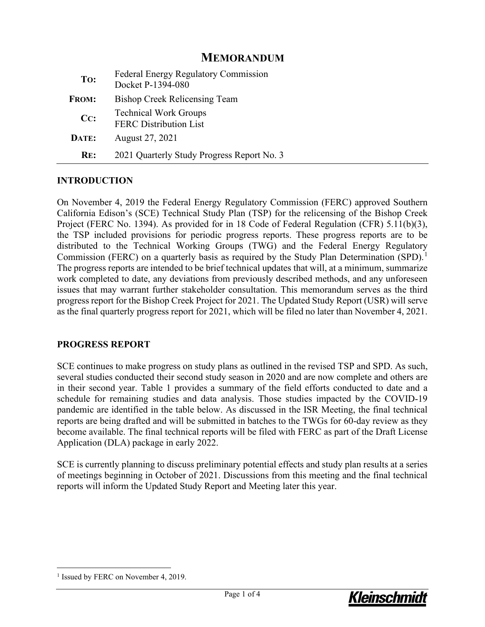## **MEMORANDUM**

| To:                | <b>Federal Energy Regulatory Commission</b><br>Docket P-1394-080 |
|--------------------|------------------------------------------------------------------|
| <b>FROM:</b>       | <b>Bishop Creek Relicensing Team</b>                             |
| $C_{\mathbf{C}}$ : | <b>Technical Work Groups</b><br><b>FERC Distribution List</b>    |
| DATE:              | August 27, 2021                                                  |
| RE:                | 2021 Quarterly Study Progress Report No. 3                       |

### **INTRODUCTION**

On November 4, 2019 the Federal Energy Regulatory Commission (FERC) approved Southern California Edison's (SCE) Technical Study Plan (TSP) for the relicensing of the Bishop Creek Project (FERC No. 1394). As provided for in 18 Code of Federal Regulation (CFR) 5.11(b)(3), the TSP included provisions for periodic progress reports. These progress reports are to be distributed to the Technical Working Groups (TWG) and the Federal Energy Regulatory Commission (FERC) on a quarterly basis as required by the Study Plan Determination (SPD).<sup>[1](#page-1-0)</sup> The progress reports are intended to be brief technical updates that will, at a minimum, summarize work completed to date, any deviations from previously described methods, and any unforeseen issues that may warrant further stakeholder consultation. This memorandum serves as the third progress report for the Bishop Creek Project for 2021. The Updated Study Report (USR) will serve as the final quarterly progress report for 2021, which will be filed no later than November 4, 2021.

### **PROGRESS REPORT**

SCE continues to make progress on study plans as outlined in the revised TSP and SPD. As such, several studies conducted their second study season in 2020 and are now complete and others are in their second year. [Table 1](#page-2-0) provides a summary of the field efforts conducted to date and a schedule for remaining studies and data analysis. Those studies impacted by the COVID-19 pandemic are identified in the table below. As discussed in the ISR Meeting, the final technical reports are being drafted and will be submitted in batches to the TWGs for 60-day review as they become available. The final technical reports will be filed with FERC as part of the Draft License Application (DLA) package in early 2022.

SCE is currently planning to discuss preliminary potential effects and study plan results at a series of meetings beginning in October of 2021. Discussions from this meeting and the final technical reports will inform the Updated Study Report and Meeting later this year.



<span id="page-1-0"></span><sup>&</sup>lt;sup>1</sup> Issued by FERC on November 4, 2019.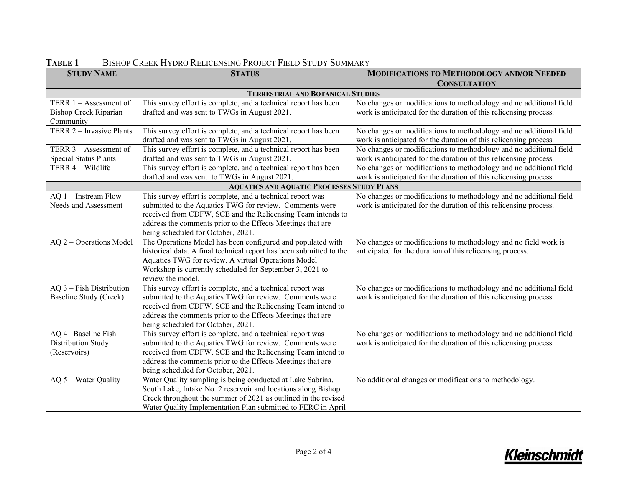<span id="page-2-0"></span>

| <b>STUDY NAME</b>                                 | <b>STATUS</b>                                                                 | <b>MODIFICATIONS TO METHODOLOGY AND/OR NEEDED</b>                  |  |  |
|---------------------------------------------------|-------------------------------------------------------------------------------|--------------------------------------------------------------------|--|--|
|                                                   |                                                                               | <b>CONSULTATION</b>                                                |  |  |
|                                                   | <b>TERRESTRIAL AND BOTANICAL STUDIES</b>                                      |                                                                    |  |  |
| TERR $1 -$ Assessment of                          | This survey effort is complete, and a technical report has been               | No changes or modifications to methodology and no additional field |  |  |
| <b>Bishop Creek Riparian</b>                      | drafted and was sent to TWGs in August 2021.                                  | work is anticipated for the duration of this relicensing process.  |  |  |
| Community                                         |                                                                               |                                                                    |  |  |
| TERR 2 - Invasive Plants                          | This survey effort is complete, and a technical report has been               | No changes or modifications to methodology and no additional field |  |  |
|                                                   | drafted and was sent to TWGs in August 2021.                                  | work is anticipated for the duration of this relicensing process.  |  |  |
| TERR 3 - Assessment of                            | This survey effort is complete, and a technical report has been               | No changes or modifications to methodology and no additional field |  |  |
| <b>Special Status Plants</b>                      | drafted and was sent to TWGs in August 2021.                                  | work is anticipated for the duration of this relicensing process.  |  |  |
| TERR 4 - Wildlife                                 | This survey effort is complete, and a technical report has been               | No changes or modifications to methodology and no additional field |  |  |
|                                                   | drafted and was sent to TWGs in August 2021.                                  | work is anticipated for the duration of this relicensing process.  |  |  |
| <b>AQUATICS AND AQUATIC PROCESSES STUDY PLANS</b> |                                                                               |                                                                    |  |  |
| AQ 1 - Instream Flow                              | This survey effort is complete, and a technical report was                    | No changes or modifications to methodology and no additional field |  |  |
| Needs and Assessment                              | submitted to the Aquatics TWG for review. Comments were                       | work is anticipated for the duration of this relicensing process.  |  |  |
|                                                   | received from CDFW, SCE and the Relicensing Team intends to                   |                                                                    |  |  |
|                                                   | address the comments prior to the Effects Meetings that are                   |                                                                    |  |  |
|                                                   | being scheduled for October, 2021.                                            |                                                                    |  |  |
| AQ 2 - Operations Model                           | The Operations Model has been configured and populated with                   | No changes or modifications to methodology and no field work is    |  |  |
|                                                   | historical data. A final technical report has been submitted to the           | anticipated for the duration of this relicensing process.          |  |  |
|                                                   | Aquatics TWG for review. A virtual Operations Model                           |                                                                    |  |  |
|                                                   | Workshop is currently scheduled for September 3, 2021 to<br>review the model. |                                                                    |  |  |
| AQ 3 - Fish Distribution                          | This survey effort is complete, and a technical report was                    | No changes or modifications to methodology and no additional field |  |  |
| Baseline Study (Creek)                            | submitted to the Aquatics TWG for review. Comments were                       | work is anticipated for the duration of this relicensing process.  |  |  |
|                                                   | received from CDFW. SCE and the Relicensing Team intend to                    |                                                                    |  |  |
|                                                   | address the comments prior to the Effects Meetings that are                   |                                                                    |  |  |
|                                                   | being scheduled for October, 2021.                                            |                                                                    |  |  |
| AQ 4-Baseline Fish                                | This survey effort is complete, and a technical report was                    | No changes or modifications to methodology and no additional field |  |  |
| Distribution Study                                | submitted to the Aquatics TWG for review. Comments were                       | work is anticipated for the duration of this relicensing process.  |  |  |
| (Reservoirs)                                      | received from CDFW. SCE and the Relicensing Team intend to                    |                                                                    |  |  |
|                                                   | address the comments prior to the Effects Meetings that are                   |                                                                    |  |  |
|                                                   | being scheduled for October, 2021.                                            |                                                                    |  |  |
| AQ 5 - Water Quality                              | Water Quality sampling is being conducted at Lake Sabrina,                    | No additional changes or modifications to methodology.             |  |  |
|                                                   | South Lake, Intake No. 2 reservoir and locations along Bishop                 |                                                                    |  |  |
|                                                   | Creek throughout the summer of 2021 as outlined in the revised                |                                                                    |  |  |
|                                                   | Water Quality Implementation Plan submitted to FERC in April                  |                                                                    |  |  |

# **TABLE 1** BISHOP CREEK HYDRO RELICENSING PROJECT FIELD STUDY SUMMARY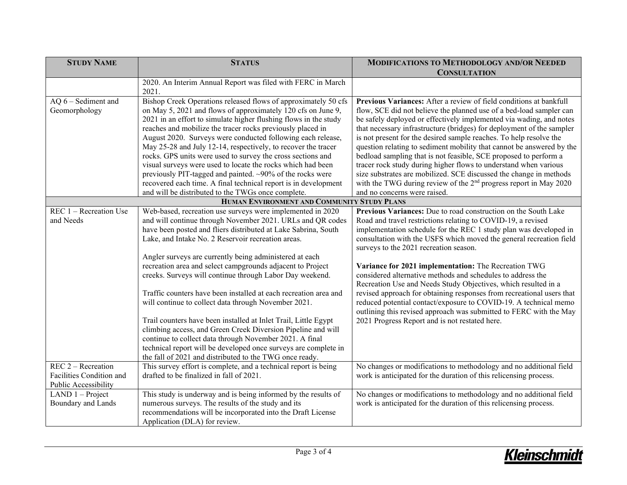| <b>STUDY NAME</b>        | <b>STATUS</b>                                                                                                     | <b>MODIFICATIONS TO METHODOLOGY AND/OR NEEDED</b>                             |
|--------------------------|-------------------------------------------------------------------------------------------------------------------|-------------------------------------------------------------------------------|
|                          |                                                                                                                   | <b>CONSULTATION</b>                                                           |
|                          | 2020. An Interim Annual Report was filed with FERC in March                                                       |                                                                               |
|                          | 2021.                                                                                                             |                                                                               |
| $AQ 6 - Sediment$ and    | Bishop Creek Operations released flows of approximately 50 cfs                                                    | Previous Variances: After a review of field conditions at bankfull            |
| Geomorphology            | on May 5, 2021 and flows of approximately 120 cfs on June 9,                                                      | flow, SCE did not believe the planned use of a bed-load sampler can           |
|                          | 2021 in an effort to simulate higher flushing flows in the study                                                  | be safely deployed or effectively implemented via wading, and notes           |
|                          | reaches and mobilize the tracer rocks previously placed in                                                        | that necessary infrastructure (bridges) for deployment of the sampler         |
|                          | August 2020. Surveys were conducted following each release,                                                       | is not present for the desired sample reaches. To help resolve the            |
|                          | May 25-28 and July 12-14, respectively, to recover the tracer                                                     | question relating to sediment mobility that cannot be answered by the         |
|                          | rocks. GPS units were used to survey the cross sections and                                                       | bedload sampling that is not feasible, SCE proposed to perform a              |
|                          | visual surveys were used to locate the rocks which had been                                                       | tracer rock study during higher flows to understand when various              |
|                          | previously PIT-tagged and painted. ~90% of the rocks were                                                         | size substrates are mobilized. SCE discussed the change in methods            |
|                          | recovered each time. A final technical report is in development                                                   | with the TWG during review of the 2 <sup>nd</sup> progress report in May 2020 |
|                          | and will be distributed to the TWGs once complete.                                                                | and no concerns were raised.                                                  |
|                          | HUMAN ENVIRONMENT AND COMMUNITY STUDY PLANS                                                                       |                                                                               |
| REC 1 - Recreation Use   | Web-based, recreation use surveys were implemented in 2020                                                        | Previous Variances: Due to road construction on the South Lake                |
| and Needs                | and will continue through November 2021. URLs and QR codes                                                        | Road and travel restrictions relating to COVID-19, a revised                  |
|                          | have been posted and fliers distributed at Lake Sabrina, South                                                    | implementation schedule for the REC 1 study plan was developed in             |
|                          | Lake, and Intake No. 2 Reservoir recreation areas.                                                                | consultation with the USFS which moved the general recreation field           |
|                          |                                                                                                                   | surveys to the 2021 recreation season.                                        |
|                          | Angler surveys are currently being administered at each                                                           |                                                                               |
|                          | recreation area and select campgrounds adjacent to Project                                                        | Variance for 2021 implementation: The Recreation TWG                          |
|                          | creeks. Surveys will continue through Labor Day weekend.                                                          | considered alternative methods and schedules to address the                   |
|                          |                                                                                                                   | Recreation Use and Needs Study Objectives, which resulted in a                |
|                          | Traffic counters have been installed at each recreation area and                                                  | revised approach for obtaining responses from recreational users that         |
|                          | will continue to collect data through November 2021.                                                              | reduced potential contact/exposure to COVID-19. A technical memo              |
|                          |                                                                                                                   | outlining this revised approach was submitted to FERC with the May            |
|                          | Trail counters have been installed at Inlet Trail, Little Egypt                                                   | 2021 Progress Report and is not restated here.                                |
|                          | climbing access, and Green Creek Diversion Pipeline and will                                                      |                                                                               |
|                          | continue to collect data through November 2021. A final                                                           |                                                                               |
|                          | technical report will be developed once surveys are complete in                                                   |                                                                               |
|                          | the fall of 2021 and distributed to the TWG once ready.                                                           |                                                                               |
| $REC 2 - Recreaction$    | This survey effort is complete, and a technical report is being                                                   | No changes or modifications to methodology and no additional field            |
| Facilities Condition and | drafted to be finalized in fall of 2021.                                                                          | work is anticipated for the duration of this relicensing process.             |
| Public Accessibility     |                                                                                                                   |                                                                               |
| LAND $1 - Project$       | This study is underway and is being informed by the results of                                                    | No changes or modifications to methodology and no additional field            |
| Boundary and Lands       | numerous surveys. The results of the study and its<br>recommendations will be incorporated into the Draft License | work is anticipated for the duration of this relicensing process.             |
|                          | Application (DLA) for review.                                                                                     |                                                                               |
|                          |                                                                                                                   |                                                                               |